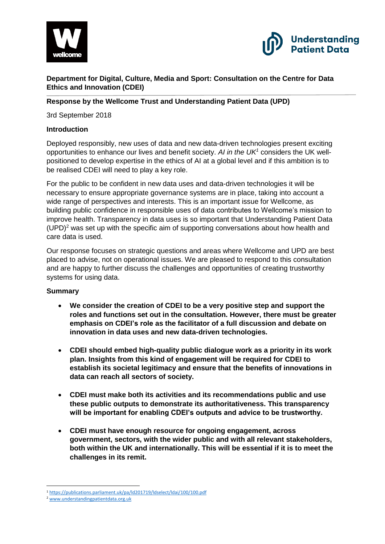



**Department for Digital, Culture, Media and Sport: Consultation on the Centre for Data Ethics and Innovation (CDEI)**

#### **Response by the Wellcome Trust and Understanding Patient Data (UPD)**

3rd September 2018

#### **Introduction**

Deployed responsibly, new uses of data and new data-driven technologies present exciting opportunities to enhance our lives and benefit society. *AI in the UK<sup>1</sup>* considers the UK wellpositioned to develop expertise in the ethics of AI at a global level and if this ambition is to be realised CDEI will need to play a key role.

For the public to be confident in new data uses and data-driven technologies it will be necessary to ensure appropriate governance systems are in place, taking into account a wide range of perspectives and interests. This is an important issue for Wellcome, as building public confidence in responsible uses of data contributes to Wellcome's mission to improve health. Transparency in data uses is so important that Understanding Patient Data  $(UPD)<sup>2</sup>$  was set up with the specific aim of supporting conversations about how health and care data is used.

Our response focuses on strategic questions and areas where Wellcome and UPD are best placed to advise, not on operational issues. We are pleased to respond to this consultation and are happy to further discuss the challenges and opportunities of creating trustworthy systems for using data.

## **Summary**

- **We consider the creation of CDEI to be a very positive step and support the roles and functions set out in the consultation. However, there must be greater emphasis on CDEI's role as the facilitator of a full discussion and debate on innovation in data uses and new data-driven technologies.**
- **CDEI should embed high-quality public dialogue work as a priority in its work plan. Insights from this kind of engagement will be required for CDEI to establish its societal legitimacy and ensure that the benefits of innovations in data can reach all sectors of society.**
- **CDEI must make both its activities and its recommendations public and use these public outputs to demonstrate its authoritativeness. This transparency will be important for enabling CDEI's outputs and advice to be trustworthy.**
- **CDEI must have enough resource for ongoing engagement, across government, sectors, with the wider public and with all relevant stakeholders, both within the UK and internationally. This will be essential if it is to meet the challenges in its remit.**

**<sup>.</sup>** <sup>1</sup> <https://publications.parliament.uk/pa/ld201719/ldselect/ldai/100/100.pdf>

<sup>2</sup> [www.understandingpatientdata.org.uk](http://www.understandingpatientdata.org.uk/)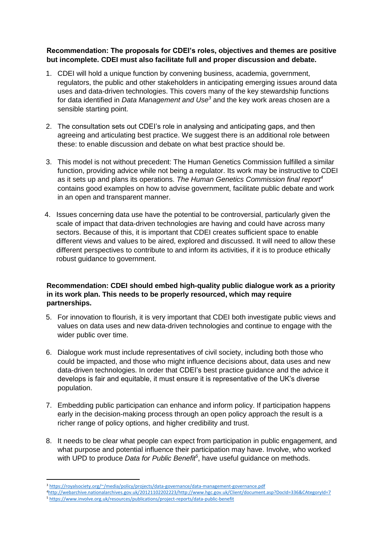## **Recommendation: The proposals for CDEI's roles, objectives and themes are positive but incomplete. CDEI must also facilitate full and proper discussion and debate.**

- 1. CDEI will hold a unique function by convening business, academia, government, regulators, the public and other stakeholders in anticipating emerging issues around data uses and data-driven technologies. This covers many of the key stewardship functions for data identified in *Data Management and Use<sup>3</sup>* and the key work areas chosen are a sensible starting point.
- 2. The consultation sets out CDEI's role in analysing and anticipating gaps, and then agreeing and articulating best practice. We suggest there is an additional role between these: to enable discussion and debate on what best practice should be.
- 3. This model is not without precedent: The Human Genetics Commission fulfilled a similar function, providing advice while not being a regulator. Its work may be instructive to CDEI as it sets up and plans its operations. *The Human Genetics Commission final report<sup>4</sup>* contains good examples on how to advise government, facilitate public debate and work in an open and transparent manner.
- 4. Issues concerning data use have the potential to be controversial, particularly given the scale of impact that data-driven technologies are having and could have across many sectors. Because of this, it is important that CDEI creates sufficient space to enable different views and values to be aired, explored and discussed. It will need to allow these different perspectives to contribute to and inform its activities, if it is to produce ethically robust guidance to government.

## **Recommendation: CDEI should embed high-quality public dialogue work as a priority in its work plan. This needs to be properly resourced, which may require partnerships.**

- 5. For innovation to flourish, it is very important that CDEI both investigate public views and values on data uses and new data-driven technologies and continue to engage with the wider public over time.
- 6. Dialogue work must include representatives of civil society, including both those who could be impacted, and those who might influence decisions about, data uses and new data-driven technologies. In order that CDEI's best practice guidance and the advice it develops is fair and equitable, it must ensure it is representative of the UK's diverse population.
- 7. Embedding public participation can enhance and inform policy. If participation happens early in the decision-making process through an open policy approach the result is a richer range of policy options, and higher credibility and trust.
- 8. It needs to be clear what people can expect from participation in public engagement, and what purpose and potential influence their participation may have. Involve, who worked with UPD to produce *Data for Public Benefit<sup>5</sup>* , have useful guidance on methods.

 $\overline{a}$ 

<sup>3</sup> <https://royalsociety.org/~/media/policy/projects/data-governance/data-management-governance.pdf>

<sup>4</sup>[http://webarchive.nationalarchives.gov.uk/20121102202223/http://www.hgc.gov.uk/Client/document.asp?DocId=336&CAtegoryId=7](http://webarchive.nationalarchives.gov.uk/20121102202223/http:/www.hgc.gov.uk/Client/document.asp?DocId=336&CAtegoryId=7) <sup>5</sup> <https://www.involve.org.uk/resources/publications/project-reports/data-public-benefit>